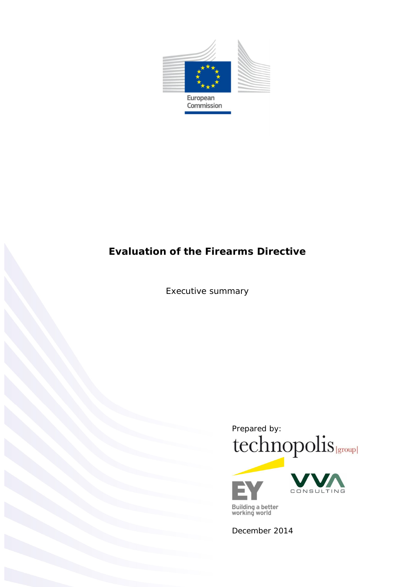

*Executive summary*



Building a better<br>working world

December 2014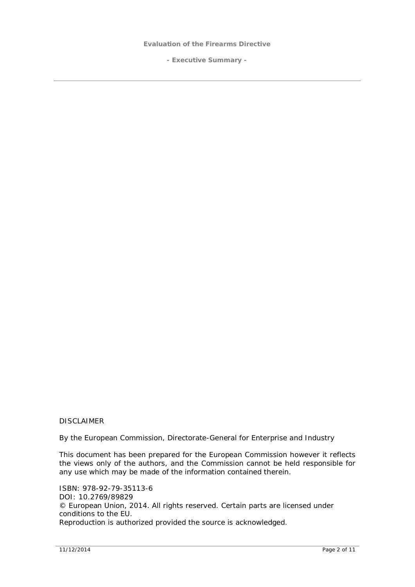**- Executive Summary -**

#### DISCLAIMER

By the European Commission, Directorate-General for Enterprise and Industry

This document has been prepared for the European Commission however it reflects the views only of the authors, and the Commission cannot be held responsible for any use which may be made of the information contained therein.

ISBN: 978-92-79-35113-6 DOI: 10.2769/89829 © European Union, 2014. All rights reserved. Certain parts are licensed under conditions to the EU. Reproduction is authorized provided the source is acknowledged.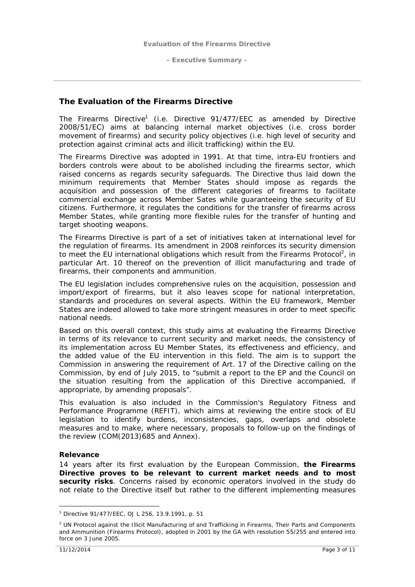# **The Evaluation of the Firearms Directive**

The Firearms Directive<sup>1</sup> (i.e. Directive 91/477/EEC as amended by Directive 2008/51/EC) aims at balancing internal market objectives (i.e. cross border movement of firearms) and security policy objectives (i.e. high level of security and protection against criminal acts and illicit trafficking) within the EU.

The Firearms Directive was adopted in 1991. At that time, intra-EU frontiers and borders controls were about to be abolished including the firearms sector, which raised concerns as regards security safeguards. The Directive thus laid down the minimum requirements that Member States should impose as regards the acquisition and possession of the different categories of firearms to facilitate commercial exchange across Member Sates while guaranteeing the security of EU citizens. Furthermore, it regulates the conditions for the transfer of firearms across Member States, while granting more flexible rules for the transfer of hunting and target shooting weapons.

The Firearms Directive is part of a set of initiatives taken at international level for the regulation of firearms. Its amendment in 2008 reinforces its security dimension to meet the EU international obligations which result from the Firearms Protocol<sup>2</sup>, in particular Art. 10 thereof on the prevention of illicit manufacturing and trade of firearms, their components and ammunition.

The EU legislation includes comprehensive rules on the acquisition, possession and import/export of firearms, but it also leaves scope for national interpretation, standards and procedures on several aspects. Within the EU framework, Member States are indeed allowed to take more stringent measures in order to meet specific national needs.

Based on this overall context, this study aims at evaluating the Firearms Directive in terms of its relevance to current security and market needs, the consistency of its implementation across EU Member States, its effectiveness and efficiency, and the added value of the EU intervention in this field. The aim is to support the Commission in answering the requirement of Art. 17 of the Directive calling on the Commission, by end of July 2015, to "*submit a report to the EP and the Council on the situation resulting from the application of this Directive accompanied, if appropriate, by amending proposals*".

This evaluation is also included in the Commission's Regulatory Fitness and Performance Programme (REFIT), which aims at reviewing the entire stock of EU legislation to identify burdens, inconsistencies, gaps, overlaps and obsolete measures and to make, where necessary, proposals to follow-up on the findings of the review (COM(2013)685 and Annex).

#### *Relevance*

14 years after its first evaluation by the European Commission, **the Firearms Directive proves to be relevant to current market needs and to most security risks**. Concerns raised by economic operators involved in the study do not relate to the Directive itself but rather to the different implementing measures

<sup>1</sup> Directive 91/477/EEC, OJ L 256, 13.9.1991, p. 51

<sup>&</sup>lt;sup>2</sup> UN Protocol against the Illicit Manufacturing of and Trafficking in Firearms, Their Parts and Components and Ammunition (Firearms Protocol), adopted in 2001 by the GA with resolution 55/255 and entered into force on 3 June 2005.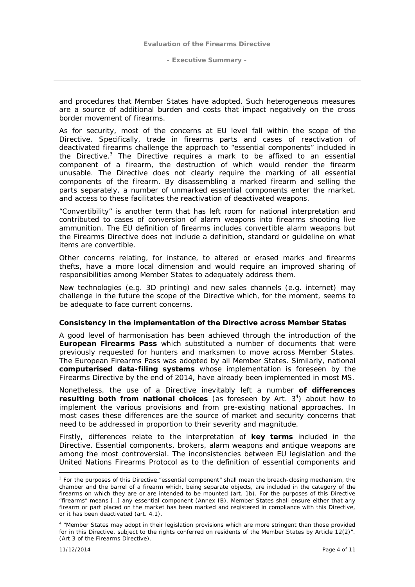and procedures that Member States have adopted. Such heterogeneous measures are a source of additional burden and costs that impact negatively on the cross border movement of firearms.

As for security, most of the concerns at EU level fall within the scope of the Directive. Specifically, trade in firearms parts and cases of reactivation of deactivated firearms challenge the approach to "essential components" included in the Directive.<sup>3</sup> The Directive requires a mark to be affixed to an essential component of a firearm, the destruction of which would render the firearm unusable. The Directive does not clearly require the marking of all essential components of the firearm. By disassembling a marked firearm and selling the parts separately, a number of unmarked essential components enter the market, and access to these facilitates the reactivation of deactivated weapons.

"Convertibility" is another term that has left room for national interpretation and contributed to cases of conversion of alarm weapons into firearms shooting live ammunition. The EU definition of firearms includes convertible alarm weapons but the Firearms Directive does not include a definition, standard or guideline on what items are convertible.

Other concerns relating, for instance, to altered or erased marks and firearms thefts, have a more local dimension and would require an improved sharing of responsibilities among Member States to adequately address them.

New technologies (e.g. 3D printing) and new sales channels (e.g. internet) may challenge in the future the scope of the Directive which, for the moment, seems to be adequate to face current concerns.

#### *Consistency in the implementation of the Directive across Member States*

A good level of harmonisation has been achieved through the introduction of the **European Firearms Pass** which substituted a number of documents that were previously requested for hunters and marksmen to move across Member States. The European Firearms Pass was adopted by all Member States. Similarly, national **computerised data-filing systems** whose implementation is foreseen by the Firearms Directive by the end of 2014, have already been implemented in most MS.

Nonetheless, the use of a Directive inevitably left a number **of differences** resulting both from national choices (as foreseen by Art. 3<sup>4</sup>) about how to implement the various provisions and from pre-existing national approaches. In most cases these differences are the source of market and security concerns that need to be addressed in proportion to their severity and magnitude.

Firstly, differences relate to the interpretation of **key terms** included in the Directive. Essential components, brokers, alarm weapons and antique weapons are among the most controversial. The inconsistencies between EU legislation and the United Nations Firearms Protocol as to the definition of essential components and

<sup>&</sup>lt;sup>3</sup> For the purposes of this Directive "essential component" shall mean the breach-closing mechanism, the chamber and the barrel of a firearm which, being separate objects, are included in the category of the firearms on which they are or are intended to be mounted (*art. 1b*). For the purposes of this Directive "firearms" means [..] any essential component (*Annex IB*). Member States shall ensure either that any firearm or part placed on the market has been marked and registered in compliance with this Directive, or it has been deactivated (*art. 4.1*).

<sup>4</sup> "Member States may adopt in their legislation provisions which are more stringent than those provided for in this Directive, subject to the rights conferred on residents of the Member States by Article 12(2)". (Art 3 of the Firearms Directive).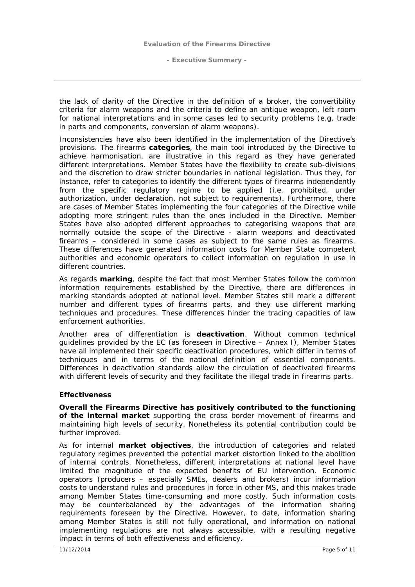the lack of clarity of the Directive in the definition of a broker, the convertibility criteria for alarm weapons and the criteria to define an antique weapon, left room for national interpretations and in some cases led to security problems (e.g. trade in parts and components, conversion of alarm weapons).

Inconsistencies have also been identified in the implementation of the Directive's provisions. The firearms **categories**, the main tool introduced by the Directive to achieve harmonisation, are illustrative in this regard as they have generated different interpretations. Member States have the flexibility to create sub-divisions and the discretion to draw stricter boundaries in national legislation. Thus they, for instance, refer to categories to identify the different types of firearms independently from the specific regulatory regime to be applied (i.e. prohibited, under authorization, under declaration, not subject to requirements). Furthermore, there are cases of Member States implementing the four categories of the Directive while adopting more stringent rules than the ones included in the Directive. Member States have also adopted different approaches to categorising weapons that are normally outside the scope of the Directive - alarm weapons and deactivated firearms – considered in some cases as subject to the same rules as firearms. These differences have generated information costs for Member State competent authorities and economic operators to collect information on regulation in use in different countries.

As regards **marking**, despite the fact that most Member States follow the common information requirements established by the Directive, there are differences in marking standards adopted at national level. Member States still mark a different number and different types of firearms parts, and they use different marking techniques and procedures. These differences hinder the tracing capacities of law enforcement authorities.

Another area of differentiation is **deactivation**. Without common technical guidelines provided by the EC (as foreseen in Directive – Annex I), Member States have all implemented their specific deactivation procedures, which differ in terms of techniques and in terms of the national definition of essential components. Differences in deactivation standards allow the circulation of deactivated firearms with different levels of security and they facilitate the illegal trade in firearms parts.

#### *Effectiveness*

**Overall the Firearms Directive has positively contributed to the functioning of the internal market** supporting the cross border movement of firearms and maintaining high levels of security. Nonetheless its potential contribution could be further improved.

As for internal **market objectives**, the introduction of categories and related regulatory regimes prevented the potential market distortion linked to the abolition of internal controls. Nonetheless, different interpretations at national level have limited the magnitude of the expected benefits of EU intervention. Economic operators (producers – especially SMEs, dealers and brokers) incur information costs to understand rules and procedures in force in other MS, and this makes trade among Member States time-consuming and more costly. Such information costs may be counterbalanced by the advantages of the information sharing requirements foreseen by the Directive. However, to date, information sharing among Member States is still not fully operational, and information on national implementing regulations are not always accessible, with a resulting negative impact in terms of both effectiveness and efficiency.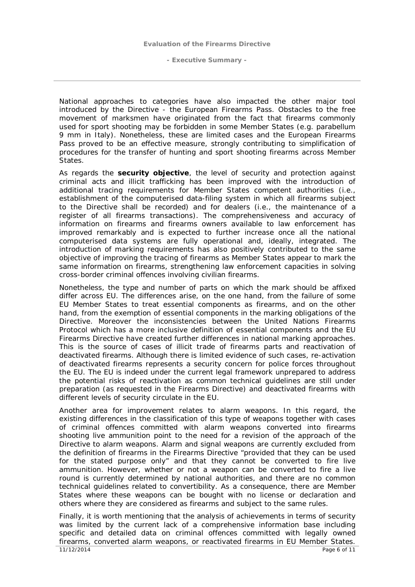National approaches to categories have also impacted the other major tool introduced by the Directive - the European Firearms Pass. Obstacles to the free movement of marksmen have originated from the fact that firearms commonly used for sport shooting may be forbidden in some Member States (e.g. parabellum 9 mm in Italy). Nonetheless, these are limited cases and the European Firearms Pass proved to be an effective measure, strongly contributing to simplification of procedures for the transfer of hunting and sport shooting firearms across Member States.

As regards the **security objective**, the level of security and protection against criminal acts and illicit trafficking has been improved with the introduction of additional tracing requirements for Member States competent authorities (i.e., establishment of the computerised data-filing system in which all firearms subject to the Directive shall be recorded) and for dealers (i.e., the maintenance of a register of all firearms transactions). The comprehensiveness and accuracy of information on firearms and firearms owners available to law enforcement has improved remarkably and is expected to further increase once all the national computerised data systems are fully operational and, ideally, integrated. The introduction of marking requirements has also positively contributed to the same objective of improving the tracing of firearms as Member States appear to mark the same information on firearms, strengthening law enforcement capacities in solving cross-border criminal offences involving civilian firearms.

Nonetheless, the type and number of parts on which the mark should be affixed differ across EU. The differences arise, on the one hand, from the failure of some EU Member States to treat essential components as firearms, and on the other hand, from the exemption of essential components in the marking obligations of the Directive. Moreover the inconsistencies between the United Nations Firearms Protocol which has a more inclusive definition of essential components and the EU Firearms Directive have created further differences in national marking approaches. This is the source of cases of illicit trade of firearms parts and reactivation of deactivated firearms. Although there is limited evidence of such cases, re-activation of deactivated firearms represents a security concern for police forces throughout the EU. The EU is indeed under the current legal framework unprepared to address the potential risks of reactivation as common technical guidelines are still under preparation (as requested in the Firearms Directive) and deactivated firearms with different levels of security circulate in the EU.

Another area for improvement relates to alarm weapons. In this regard, the existing differences in the classification of this type of weapons together with cases of criminal offences committed with alarm weapons converted into firearms shooting live ammunition point to the need for a revision of the approach of the Directive to alarm weapons. Alarm and signal weapons are currently excluded from the definition of firearms in the Firearms Directive "provided that they can be used for the stated purpose only" and that they cannot be converted to fire live ammunition. However, whether or not a weapon can be converted to fire a live round is currently determined by national authorities, and there are no common technical guidelines related to convertibility. As a consequence, there are Member States where these weapons can be bought with no license or declaration and others where they are considered as firearms and subject to the same rules.

Finally, it is worth mentioning that the analysis of achievements in terms of security was limited by the current lack of a comprehensive information base including specific and detailed data on criminal offences committed with legally owned firearms, converted alarm weapons, or reactivated firearms in EU Member States.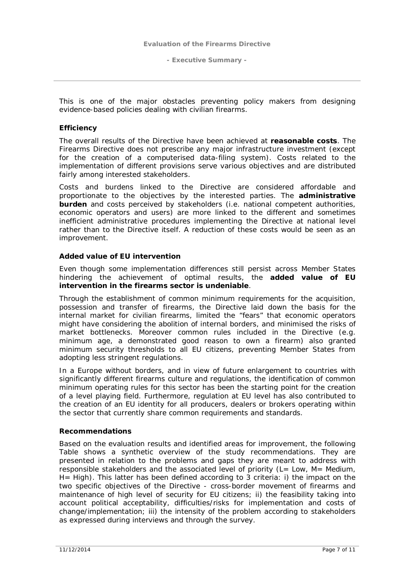This is one of the major obstacles preventing policy makers from designing evidence-based policies dealing with civilian firearms.

#### *Efficiency*

The overall results of the Directive have been achieved at **reasonable costs**. The Firearms Directive does not prescribe any major infrastructure investment (except for the creation of a computerised data-filing system). Costs related to the implementation of different provisions serve various objectives and are distributed fairly among interested stakeholders.

Costs and burdens linked to the Directive are considered affordable and proportionate to the objectives by the interested parties. The **administrative burden** and costs perceived by stakeholders (i.e. national competent authorities, economic operators and users) are more linked to the different and sometimes inefficient administrative procedures implementing the Directive at national level rather than to the Directive itself. A reduction of these costs would be seen as an improvement.

### *Added value of EU intervention*

Even though some implementation differences still persist across Member States hindering the achievement of optimal results, the **added value of EU intervention in the firearms sector is undeniable**.

Through the establishment of common minimum requirements for the acquisition, possession and transfer of firearms, the Directive laid down the basis for the internal market for civilian firearms, limited the "fears" that economic operators might have considering the abolition of internal borders, and minimised the risks of market bottlenecks. Moreover common rules included in the Directive (e.g. minimum age, a demonstrated good reason to own a firearm) also granted minimum security thresholds to all EU citizens, preventing Member States from adopting less stringent regulations.

In a Europe without borders, and in view of future enlargement to countries with significantly different firearms culture and regulations, the identification of common minimum operating rules for this sector has been the starting point for the creation of a level playing field. Furthermore, regulation at EU level has also contributed to the creation of an EU identity for all producers, dealers or brokers operating within the sector that currently share common requirements and standards.

#### **Recommendations**

Based on the evaluation results and identified areas for improvement, the following Table shows a synthetic overview of the study recommendations. They are presented in relation to the problems and gaps they are meant to address with responsible stakeholders and the associated level of priority (L= Low, M= Medium, H= High). This latter has been defined according to 3 criteria: i) the impact on the two specific objectives of the Directive - cross-border movement of firearms and maintenance of high level of security for EU citizens; ii) the feasibility taking into account political acceptability, difficulties/risks for implementation and costs of change/implementation; iii) the intensity of the problem according to stakeholders as expressed during interviews and through the survey.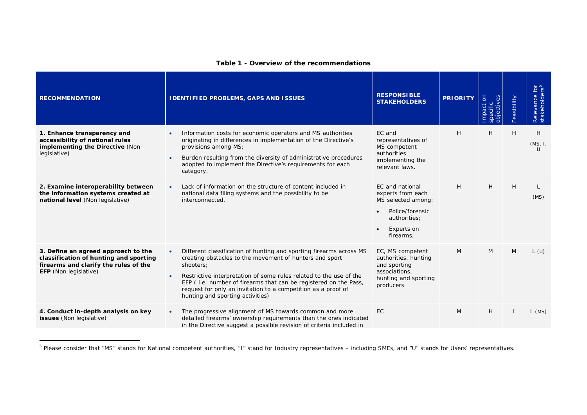| <b>RECOMMENDATION</b>                                                                                                                           | I DENTIFIED PROBLEMS, GAPS AND ISSUES                                                                                                                                                                                                                                                                                                                                                                                | <b>RESPONSIBLE</b><br><b>STAKEHOLDERS</b>                                                                                | <b>PRIORITY</b> | $\overline{5}$<br>$\bar{\Phi}$ | Feasibility | Relevance f<br>stakeholder      |
|-------------------------------------------------------------------------------------------------------------------------------------------------|----------------------------------------------------------------------------------------------------------------------------------------------------------------------------------------------------------------------------------------------------------------------------------------------------------------------------------------------------------------------------------------------------------------------|--------------------------------------------------------------------------------------------------------------------------|-----------------|--------------------------------|-------------|---------------------------------|
| 1. Enhance transparency and<br>accessibility of national rules<br>implementing the Directive (Non<br>legislative)                               | Information costs for economic operators and MS authorities<br>$\bullet$<br>originating in differences in implementation of the Directive's<br>provisions among MS;<br>Burden resulting from the diversity of administrative procedures<br>$\bullet$<br>adopted to implement the Directive's requirements for each<br>category.                                                                                      | EC and<br>representatives of<br>MS competent<br>authorities<br>implementing the<br>relevant laws.                        | H               | H                              | H           | H<br>(MS, 1,<br>$\overline{11}$ |
| 2. Examine interoperability between<br>the information systems created at<br>national level (Non legislative)                                   | Lack of information on the structure of content included in<br>$\bullet$<br>national data filing systems and the possibility to be<br>interconnected.                                                                                                                                                                                                                                                                | EC and national<br>experts from each<br>MS selected among:<br>Police/forensic<br>authorities;<br>Experts on<br>firearms: | H               | H                              | H           | (MS)                            |
| 3. Define an agreed approach to the<br>classification of hunting and sporting<br>firearms and clarify the rules of the<br>EFP (Non legislative) | Different classification of hunting and sporting firearms across MS<br>$\bullet$<br>creating obstacles to the movement of hunters and sport<br>shooters:<br>Restrictive interpretation of some rules related to the use of the<br>$\bullet$<br>EFP (i.e. number of firearms that can be registered on the Pass,<br>request for only an invitation to a competition as a proof of<br>hunting and sporting activities) | EC, MS competent<br>authorities, hunting<br>and sporting<br>associations,<br>hunting and sporting<br>producers           | M               | M                              | M           | L(U)                            |
| 4. Conduct in-depth analysis on key<br>issues (Non legislative)                                                                                 | The progressive alignment of MS towards common and more<br>$\bullet$<br>detailed firearms' ownership requirements than the ones indicated<br>in the Directive suggest a possible revision of criteria included in                                                                                                                                                                                                    | EC                                                                                                                       | M               | H                              | L           | $L$ (MS)                        |

## **Table 1 - Overview of the recommendations**

<sup>&</sup>lt;sup>5</sup> Please consider that "MS" stands for National competent authorities, "I" stand for Industry representatives – including SMEs, and "U" stands for Users' representatives.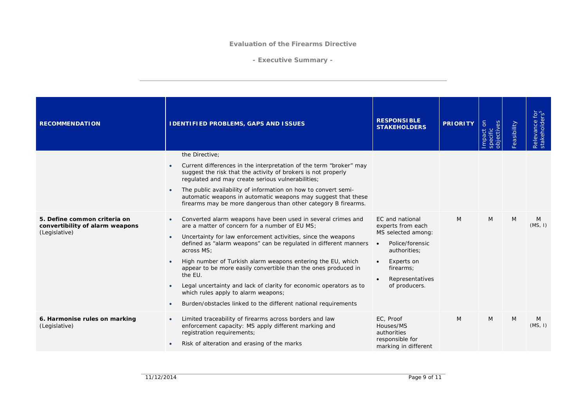**- Executive Summary -**

| <b>RECOMMENDATION</b>                                                            | I DENTIFIED PROBLEMS, GAPS AND ISSUES                                                                                                                                                                                                                                                                                                                                                                                                                                                                                                                                                                                                                         | <b>RESPONSIBLE</b><br><b>STAKEHOLDERS</b>                                                                                                                    | <b>PRIORITY</b> | $\delta$<br><b>bjectives</b><br>mpact<br>pecific | Feasibility | Relevance for<br>stakeholders <sup>5</sup> |
|----------------------------------------------------------------------------------|---------------------------------------------------------------------------------------------------------------------------------------------------------------------------------------------------------------------------------------------------------------------------------------------------------------------------------------------------------------------------------------------------------------------------------------------------------------------------------------------------------------------------------------------------------------------------------------------------------------------------------------------------------------|--------------------------------------------------------------------------------------------------------------------------------------------------------------|-----------------|--------------------------------------------------|-------------|--------------------------------------------|
|                                                                                  | the Directive;<br>Current differences in the interpretation of the term "broker" may<br>$\bullet$<br>suggest the risk that the activity of brokers is not properly<br>regulated and may create serious vulnerabilities;<br>The public availability of information on how to convert semi-<br>$\bullet$<br>automatic weapons in automatic weapons may suggest that these<br>firearms may be more dangerous than other category B firearms.                                                                                                                                                                                                                     |                                                                                                                                                              |                 |                                                  |             |                                            |
| 5. Define common criteria on<br>convertibility of alarm weapons<br>(Legislative) | Converted alarm weapons have been used in several crimes and<br>$\bullet$<br>are a matter of concern for a number of EU MS:<br>Uncertainty for law enforcement activities, since the weapons<br>$\bullet$<br>defined as "alarm weapons" can be requiated in different manners<br>across MS;<br>High number of Turkish alarm weapons entering the EU, which<br>$\bullet$<br>appear to be more easily convertible than the ones produced in<br>the EU.<br>Legal uncertainty and lack of clarity for economic operators as to<br>$\bullet$<br>which rules apply to alarm weapons;<br>Burden/obstacles linked to the different national requirements<br>$\bullet$ | EC and national<br>experts from each<br>MS selected among:<br>Police/forensic<br>authorities;<br>Experts on<br>firearms;<br>Representatives<br>of producers. | M               | M                                                | M           | M<br>(MS, I)                               |
| 6. Harmonise rules on marking<br>(Legislative)                                   | Limited traceability of firearms across borders and law<br>$\bullet$<br>enforcement capacity: MS apply different marking and<br>registration requirements;<br>Risk of alteration and erasing of the marks<br>$\bullet$                                                                                                                                                                                                                                                                                                                                                                                                                                        | EC, Proof<br>Houses/MS<br>authorities<br>responsible for<br>marking in different                                                                             | M               | M                                                | M           | M<br>(MS, I)                               |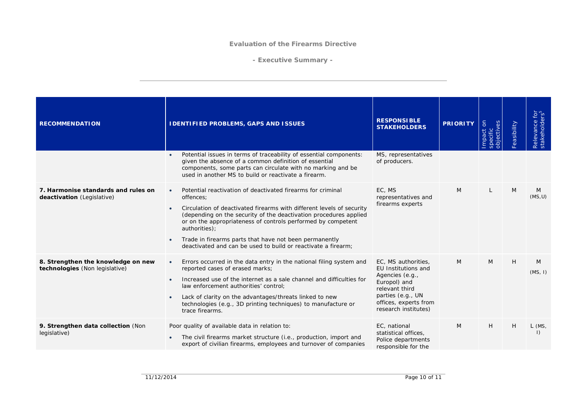**- Executive Summary -**

| <b>RECOMMENDATION</b>                                                | I DENTIFIED PROBLEMS, GAPS AND ISSUES                                                                                                                                                                                                                                                                                                                                                                                                                                     | <b>RESPONSIBLE</b><br><b>STAKEHOLDERS</b>                                                                                                                             | <b>PRIORITY</b> | $\delta$<br>objectives<br>mpact<br>specific | Feasibility | Relevance for<br>stakeholders <sup>5</sup> |
|----------------------------------------------------------------------|---------------------------------------------------------------------------------------------------------------------------------------------------------------------------------------------------------------------------------------------------------------------------------------------------------------------------------------------------------------------------------------------------------------------------------------------------------------------------|-----------------------------------------------------------------------------------------------------------------------------------------------------------------------|-----------------|---------------------------------------------|-------------|--------------------------------------------|
|                                                                      | Potential issues in terms of traceability of essential components:<br>$\bullet$<br>given the absence of a common definition of essential<br>components, some parts can circulate with no marking and be<br>used in another MS to build or reactivate a firearm.                                                                                                                                                                                                           | MS, representatives<br>of producers.                                                                                                                                  |                 |                                             |             |                                            |
| 7. Harmonise standards and rules on<br>deactivation (Legislative)    | Potential reactivation of deactivated firearms for criminal<br>$\bullet$<br>offences;<br>Circulation of deactivated firearms with different levels of security<br>$\bullet$<br>(depending on the security of the deactivation procedures applied<br>or on the appropriateness of controls performed by competent<br>authorities);<br>Trade in firearms parts that have not been permanently<br>$\bullet$<br>deactivated and can be used to build or reactivate a firearm: | EC. MS<br>representatives and<br>firearms experts                                                                                                                     | M               | L                                           | M           | M<br>(MS, U)                               |
| 8. Strengthen the knowledge on new<br>technologies (Non legislative) | Errors occurred in the data entry in the national filing system and<br>$\bullet$<br>reported cases of erased marks;<br>Increased use of the internet as a sale channel and difficulties for<br>$\bullet$<br>law enforcement authorities' control;<br>Lack of clarity on the advantages/threats linked to new<br>$\bullet$<br>technologies (e.g., 3D printing techniques) to manufacture or<br>trace firearms.                                                             | EC, MS authorities,<br>EU Institutions and<br>Agencies (e.g.,<br>Europol) and<br>relevant third<br>parties (e.g., UN<br>offices, experts from<br>research institutes) | M               | $\mathcal{M}$                               | H           | M<br>(MS, I)                               |
| 9. Strengthen data collection (Non<br>legislative)                   | Poor quality of available data in relation to:<br>The civil firearms market structure (i.e., production, import and<br>$\bullet$<br>export of civilian firearms, employees and turnover of companies                                                                                                                                                                                                                                                                      | EC, national<br>statistical offices,<br>Police departments<br>responsible for the                                                                                     | M               | H                                           | H           | $L$ (MS,<br>$\left( \right)$               |